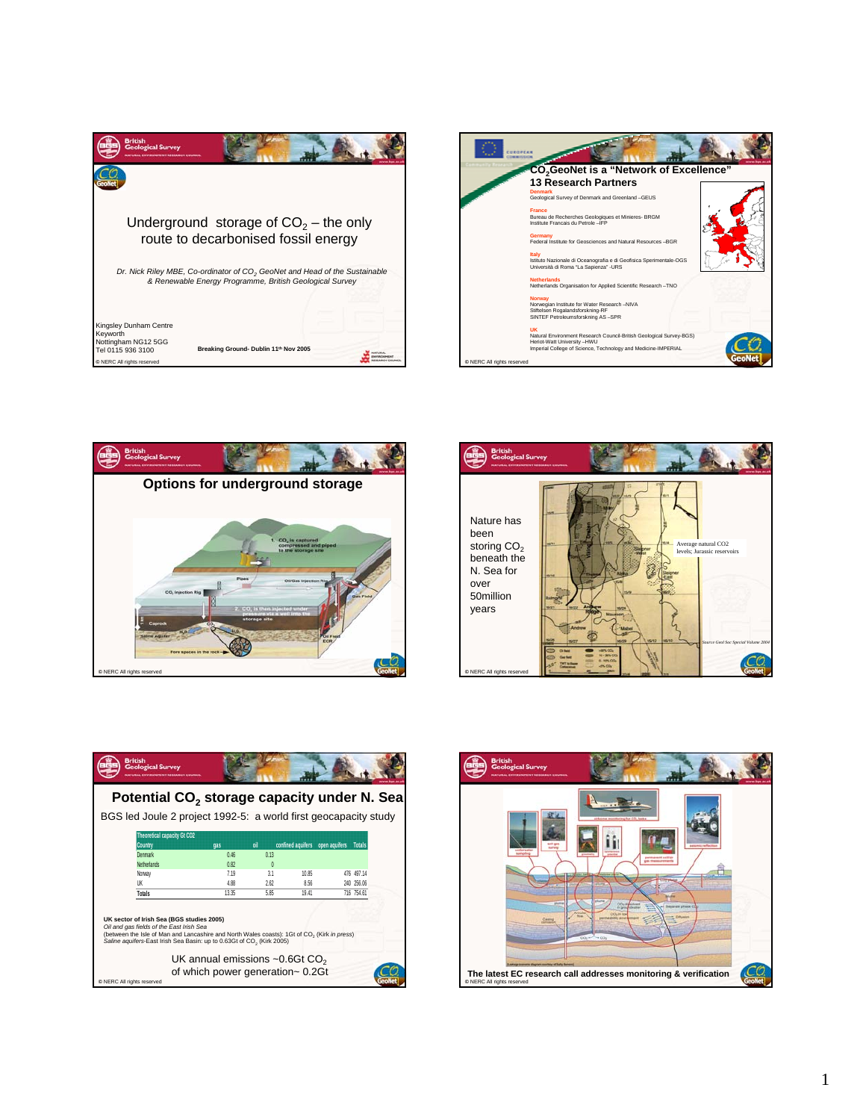









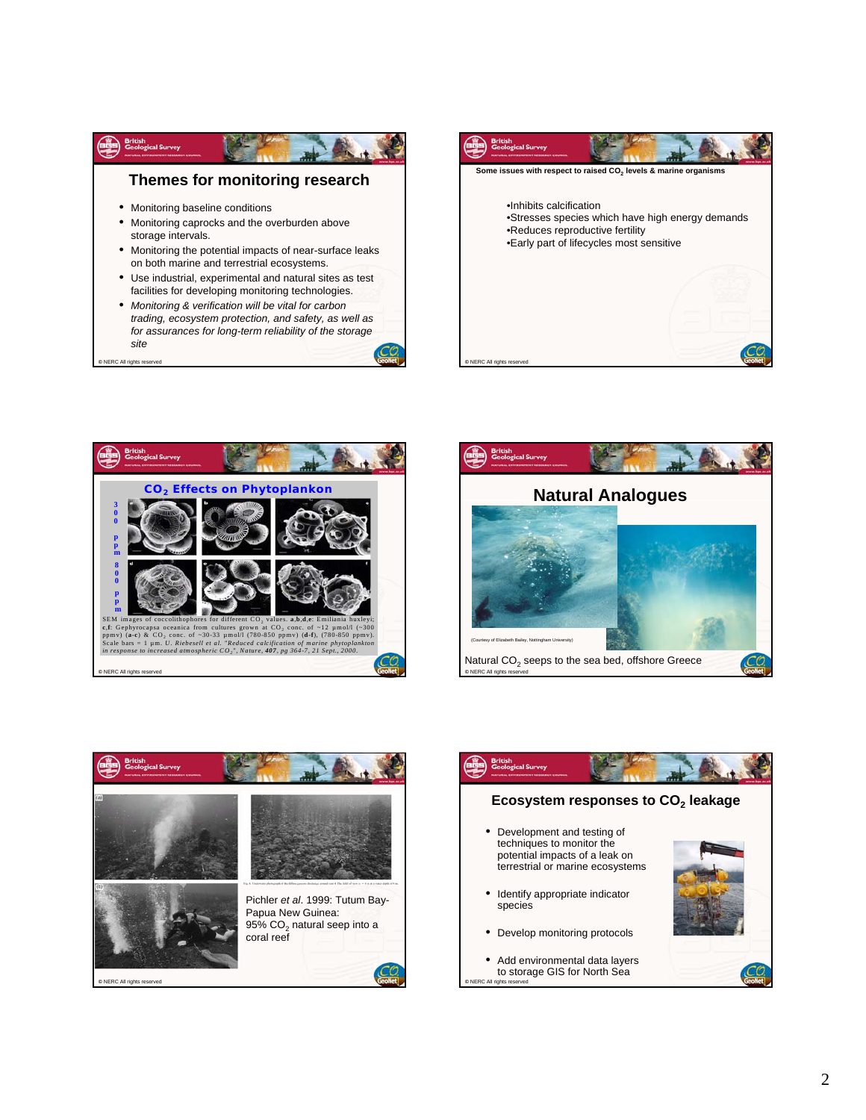